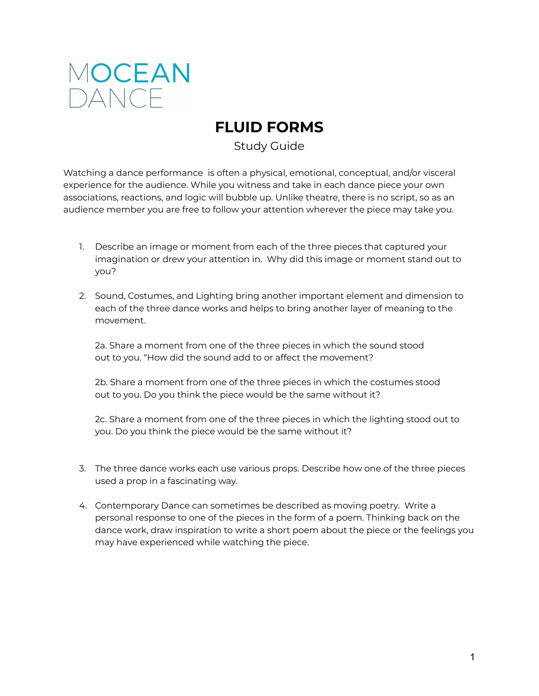

# **FLUID FORMS**

Study Guide

Watching a dance performance is often a physical, emotional, conceptual, and/or visceral experience for the audience. While you witness and take in each dance piece your own associations, reactions, and logic will bubble up. Unlike theatre, there is no script, so as an audience member you are free to follow your attention wherever the piece may take you.

- 1. Describe an image or moment from each of the three pieces that captured your imagination or drew your attention in. Why did this image or moment stand out to you?
- 2. Sound, Costumes, and Lighting bring another important element and dimension to each of the three dance works and helps to bring another layer of meaning to the movement.

2a. Share a moment from one of the three pieces in which the sound stood out to you. "How did the sound add to or affect the movement?

2b. Share a moment from one of the three pieces in which the costumes stood out to you. Do you think the piece would be the same without it?

2c. Share a moment from one of the three pieces in which the lighting stood out to you. Do you think the piece would be the same without it?

- 3. The three dance works each use various props. Describe how one of the three pieces used a prop in a fascinating way.
- 4. Contemporary Dance can sometimes be described as moving poetry. Write a personal response to one of the pieces in the form of a poem. Thinking back on the dance work, draw inspiration to write a short poem about the piece or the feelings you may have experienced while watching the piece.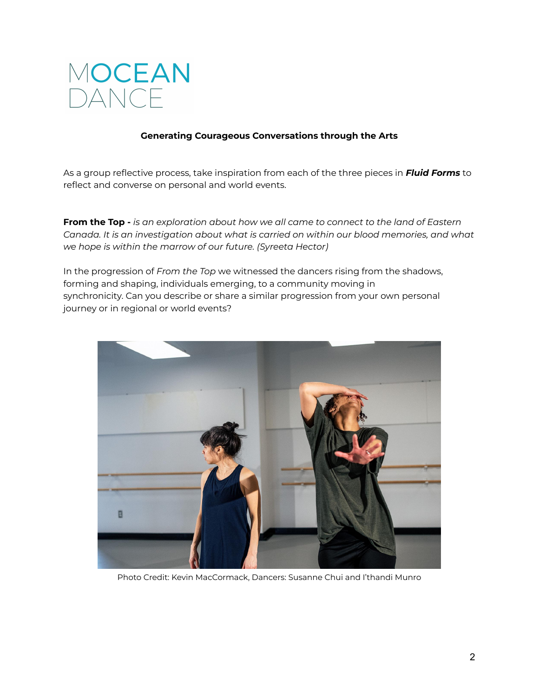

## **Generating Courageous Conversations through the Arts**

As a group reflective process, take inspiration from each of the three pieces in *Fluid Forms* to reflect and converse on personal and world events.

**From the Top -** *is an exploration about how we all came to connect to the land of Eastern Canada. It is an investigation about what is carried on within our blood memories, and what we hope is within the marrow of our future. (Syreeta Hector)*

In the progression of *From the Top* we witnessed the dancers rising from the shadows, forming and shaping, individuals emerging, to a community moving in synchronicity. Can you describe or share a similar progression from your own personal journey or in regional or world events?



Photo Credit: Kevin MacCormack, Dancers: Susanne Chui and I'thandi Munro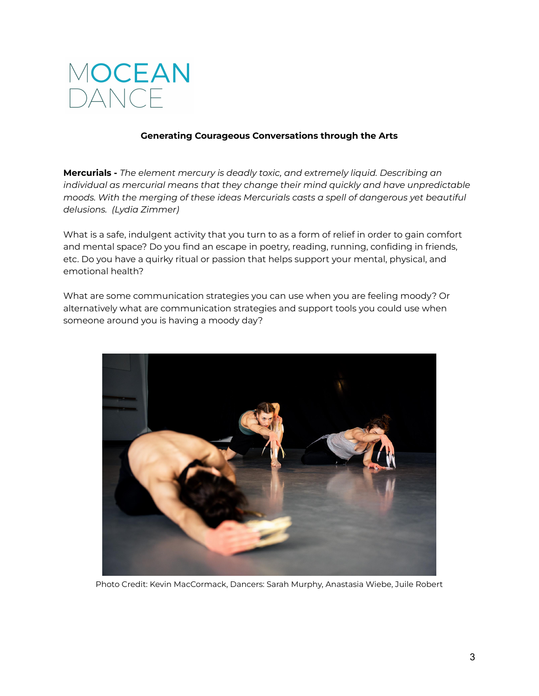

## **Generating Courageous Conversations through the Arts**

**Mercurials -** *The element mercury is deadly toxic, and extremely liquid. Describing an individual as mercurial means that they change their mind quickly and have unpredictable moods. With the merging of these ideas Mercurials casts a spell of dangerous yet beautiful delusions. (Lydia Zimmer)*

What is a safe, indulgent activity that you turn to as a form of relief in order to gain comfort and mental space? Do you find an escape in poetry, reading, running, confiding in friends, etc. Do you have a quirky ritual or passion that helps support your mental, physical, and emotional health?

What are some communication strategies you can use when you are feeling moody? Or alternatively what are communication strategies and support tools you could use when someone around you is having a moody day?



Photo Credit: Kevin MacCormack, Dancers: Sarah Murphy, Anastasia Wiebe, Juile Robert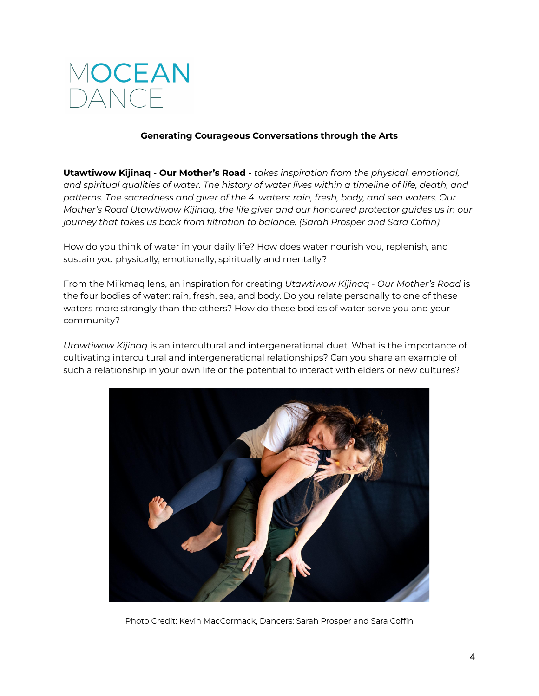

## **Generating Courageous Conversations through the Arts**

**Utawtiwow Kijinaq - Our Mother's Road -** *takes inspiration from the physical, emotional, and spiritual qualities of water. The history of water lives within a timeline of life, death, and patterns. The sacredness and giver of the 4 waters; rain, fresh, body, and sea waters. Our Mother's Road Utawtiwow Kijinaq, the life giver and our honoured protector guides us in our journey that takes us back from filtration to balance. (Sarah Prosper and Sara Coffin)*

How do you think of water in your daily life? How does water nourish you, replenish, and sustain you physically, emotionally, spiritually and mentally?

From the Mi'kmaq lens, an inspiration for creating *Utawtiwow Kijinaq - Our Mother's Road* is the four bodies of water: rain, fresh, sea, and body. Do you relate personally to one of these waters more strongly than the others? How do these bodies of water serve you and your community?

*Utawtiwow Kijinaq* is an intercultural and intergenerational duet. What is the importance of cultivating intercultural and intergenerational relationships? Can you share an example of such a relationship in your own life or the potential to interact with elders or new cultures?



Photo Credit: Kevin MacCormack, Dancers: Sarah Prosper and Sara Coffin